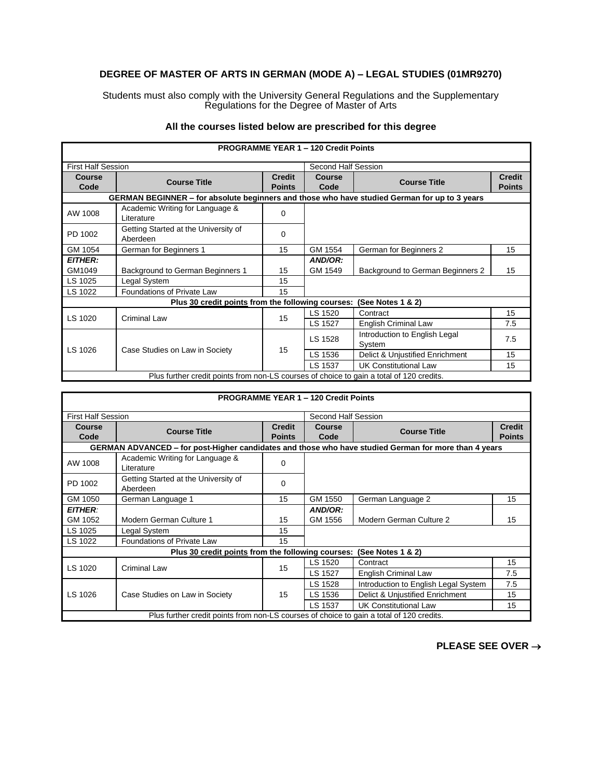## **DEGREE OF MASTER OF ARTS IN GERMAN (MODE A) – LEGAL STUDIES (01MR9270)**

Students must also comply with the University General Regulations and the Supplementary Regulations for the Degree of Master of Arts

|                           |                                                                                              |               | <b>PROGRAMME YEAR 1 - 120 Credit Points</b> |                                         |               |
|---------------------------|----------------------------------------------------------------------------------------------|---------------|---------------------------------------------|-----------------------------------------|---------------|
| <b>First Half Session</b> |                                                                                              |               | Second Half Session                         |                                         |               |
| Course                    | <b>Course Title</b>                                                                          | <b>Credit</b> | <b>Course</b>                               | <b>Course Title</b>                     | <b>Credit</b> |
| Code                      |                                                                                              | <b>Points</b> | Code                                        |                                         | <b>Points</b> |
|                           | GERMAN BEGINNER - for absolute beginners and those who have studied German for up to 3 years |               |                                             |                                         |               |
| AW 1008                   | Academic Writing for Language &<br>Literature                                                | 0             |                                             |                                         |               |
| PD 1002                   | Getting Started at the University of<br>Aberdeen                                             | 0             |                                             |                                         |               |
| GM 1054                   | German for Beginners 1                                                                       | 15            | GM 1554                                     | German for Beginners 2                  | 15            |
| <b>EITHER:</b>            |                                                                                              |               | AND/OR:                                     |                                         |               |
| GM1049                    | Background to German Beginners 1                                                             | 15            | GM 1549                                     | Background to German Beginners 2        | 15            |
| LS 1025                   | Legal System                                                                                 | 15            |                                             |                                         |               |
| LS 1022                   | Foundations of Private Law                                                                   | 15            |                                             |                                         |               |
|                           | Plus 30 credit points from the following courses:                                            |               |                                             | (See Notes $1 & 2$ )                    |               |
|                           |                                                                                              |               | LS 1520                                     | Contract                                | 15            |
| LS 1020                   | Criminal Law                                                                                 | 15            | LS 1527                                     | English Criminal Law                    | 7.5           |
| LS 1026                   | Case Studies on Law in Society                                                               | 15            | LS 1528                                     | Introduction to English Legal<br>System | 7.5           |
|                           |                                                                                              |               | LS 1536                                     | Delict & Unjustified Enrichment         | 15            |
|                           |                                                                                              |               | LS 1537                                     | <b>UK Constitutional Law</b>            | 15            |
|                           | Plus further credit points from non-LS courses of choice to gain a total of 120 credits.     |               |                                             |                                         |               |

## **All the courses listed below are prescribed for this degree**

|                |                                                                                                      |                                | <b>PROGRAMME YEAR 1 - 120 Credit Points</b> |                                      |                                |  |
|----------------|------------------------------------------------------------------------------------------------------|--------------------------------|---------------------------------------------|--------------------------------------|--------------------------------|--|
|                | <b>First Half Session</b>                                                                            |                                |                                             | Second Half Session                  |                                |  |
| Course<br>Code | <b>Course Title</b>                                                                                  | <b>Credit</b><br><b>Points</b> | Course<br>Code                              | <b>Course Title</b>                  | <b>Credit</b><br><b>Points</b> |  |
|                |                                                                                                      |                                |                                             |                                      |                                |  |
|                | GERMAN ADVANCED – for post-Higher candidates and those who have studied German for more than 4 years |                                |                                             |                                      |                                |  |
| AW 1008        | Academic Writing for Language &<br>I iterature                                                       | 0                              |                                             |                                      |                                |  |
| PD 1002        | Getting Started at the University of<br>Aberdeen                                                     | $\Omega$                       |                                             |                                      |                                |  |
| GM 1050        | German Language 1                                                                                    | 15                             | GM 1550                                     | German Language 2                    | 15                             |  |
| <b>EITHER:</b> |                                                                                                      |                                | AND/OR:                                     |                                      |                                |  |
| GM 1052        | Modern German Culture 1                                                                              | 15                             | GM 1556                                     | Modern German Culture 2              | 15                             |  |
| LS 1025        | Legal System                                                                                         | 15                             |                                             |                                      |                                |  |
| LS 1022        | Foundations of Private Law                                                                           | 15                             |                                             |                                      |                                |  |
|                | Plus 30 credit points from the following courses:                                                    |                                |                                             | (See Notes $1 & 2$ )                 |                                |  |
| LS 1020        |                                                                                                      | 15                             | LS 1520                                     | Contract                             | 15                             |  |
|                | Criminal Law                                                                                         |                                | LS 1527                                     | English Criminal Law                 | 7.5                            |  |
|                |                                                                                                      |                                | LS 1528                                     | Introduction to English Legal System | 7.5                            |  |
| LS 1026        | Case Studies on Law in Society                                                                       | 15                             | LS 1536                                     | Delict & Unjustified Enrichment      | 15                             |  |
|                |                                                                                                      |                                | LS 1537                                     | <b>UK Constitutional Law</b>         | 15                             |  |
|                | Plus further credit points from non-LS courses of choice to gain a total of 120 credits.             |                                |                                             |                                      |                                |  |

## **PLEASE SEE OVER** →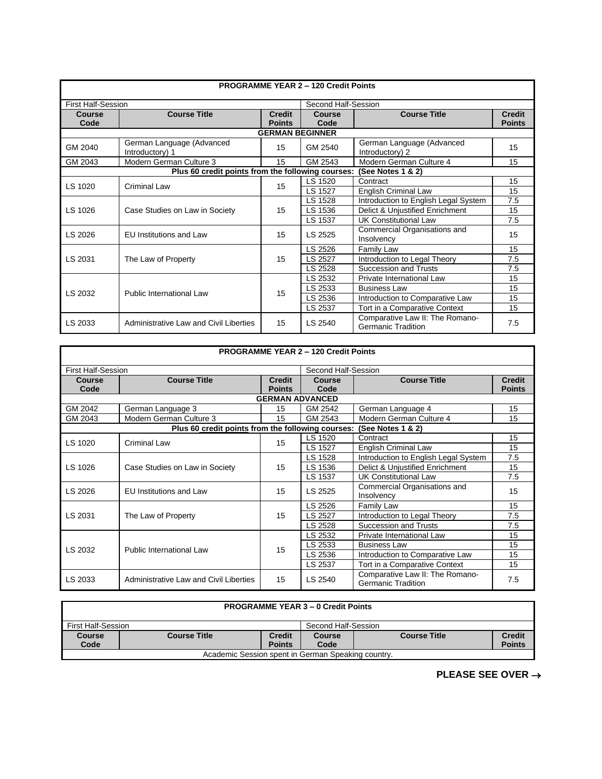|                                                  |                                                   |                                | <b>PROGRAMME YEAR 2 - 120 Credit Points</b> |                                                              |                                |  |  |
|--------------------------------------------------|---------------------------------------------------|--------------------------------|---------------------------------------------|--------------------------------------------------------------|--------------------------------|--|--|
| <b>First Half-Session</b><br>Second Half-Session |                                                   |                                |                                             |                                                              |                                |  |  |
| Course<br>Code                                   | <b>Course Title</b>                               | <b>Credit</b><br><b>Points</b> | <b>Course</b><br>Code                       | <b>Course Title</b>                                          | <b>Credit</b><br><b>Points</b> |  |  |
|                                                  | <b>GERMAN BEGINNER</b>                            |                                |                                             |                                                              |                                |  |  |
| GM 2040                                          | German Language (Advanced<br>Introductory) 1      | 15                             | GM 2540                                     | German Language (Advanced<br>Introductory) 2                 | 15                             |  |  |
| GM 2043                                          | Modern German Culture 3                           | 15                             | GM 2543                                     | Modern German Culture 4                                      | 15                             |  |  |
|                                                  | Plus 60 credit points from the following courses: |                                |                                             | (See Notes 1 & 2)                                            |                                |  |  |
| LS 1020                                          | Criminal Law                                      | 15                             | LS 1520                                     | Contract                                                     | 15                             |  |  |
|                                                  |                                                   |                                | LS 1527                                     | <b>English Criminal Law</b>                                  | 15                             |  |  |
|                                                  | Case Studies on Law in Society                    | 15                             | LS 1528                                     | Introduction to English Legal System                         | 7.5                            |  |  |
| LS 1026                                          |                                                   |                                | LS 1536                                     | Delict & Unjustified Enrichment                              | 15                             |  |  |
|                                                  |                                                   |                                | LS 1537                                     | <b>UK Constitutional Law</b>                                 | 7.5                            |  |  |
| LS 2026                                          | <b>EU</b> Institutions and Law                    | 15                             | LS 2525                                     | Commercial Organisations and<br>Insolvency                   | 15                             |  |  |
|                                                  |                                                   |                                | LS 2526                                     | Family Law                                                   | 15                             |  |  |
| LS 2031                                          | The Law of Property                               | 15                             | LS 2527                                     | Introduction to Legal Theory                                 | 7.5                            |  |  |
|                                                  |                                                   |                                | LS 2528                                     | <b>Succession and Trusts</b>                                 | 7.5                            |  |  |
|                                                  |                                                   |                                | LS 2532                                     | Private International Law                                    | 15                             |  |  |
| LS 2032                                          | Public International Law                          | 15                             | LS 2533                                     | <b>Business Law</b>                                          | 15                             |  |  |
|                                                  |                                                   |                                | LS 2536                                     | Introduction to Comparative Law                              | 15                             |  |  |
|                                                  |                                                   |                                | LS 2537                                     | Tort in a Comparative Context                                | 15                             |  |  |
| LS 2033                                          | Administrative Law and Civil Liberties            | 15                             | LS 2540                                     | Comparative Law II: The Romano-<br><b>Germanic Tradition</b> | 7.5                            |  |  |

|                |                                                   |                                | <b>PROGRAMME YEAR 2 - 120 Credit Points</b> |                                                              |                                |  |  |  |
|----------------|---------------------------------------------------|--------------------------------|---------------------------------------------|--------------------------------------------------------------|--------------------------------|--|--|--|
|                | <b>First Half-Session</b><br>Second Half-Session  |                                |                                             |                                                              |                                |  |  |  |
| Course<br>Code | <b>Course Title</b>                               | <b>Credit</b><br><b>Points</b> | Course<br>Code                              | <b>Course Title</b>                                          | <b>Credit</b><br><b>Points</b> |  |  |  |
|                | <b>GERMAN ADVANCED</b>                            |                                |                                             |                                                              |                                |  |  |  |
| GM 2042        | German Language 3                                 | 15                             | GM 2542                                     | German Language 4                                            | 15                             |  |  |  |
| GM 2043        | Modern German Culture 3                           | 15                             | GM 2543                                     | Modern German Culture 4                                      | 15                             |  |  |  |
|                | Plus 60 credit points from the following courses: |                                |                                             | (See Notes 1 & 2)                                            |                                |  |  |  |
| LS 1020        | <b>Criminal Law</b>                               | 15                             | LS 1520                                     | Contract                                                     | 15                             |  |  |  |
|                |                                                   |                                | LS 1527                                     | <b>English Criminal Law</b>                                  | 15                             |  |  |  |
|                | Case Studies on Law in Society                    |                                | LS 1528                                     | Introduction to English Legal System                         | 7.5                            |  |  |  |
| LS 1026        |                                                   | 15                             | LS 1536                                     | Delict & Unjustified Enrichment                              | 15                             |  |  |  |
|                |                                                   |                                | LS 1537                                     | <b>UK Constitutional Law</b>                                 | 7.5                            |  |  |  |
| LS 2026        | EU Institutions and Law                           | 15                             | LS 2525                                     | Commercial Organisations and<br>Insolvency                   | 15                             |  |  |  |
|                |                                                   |                                | LS 2526                                     | <b>Family Law</b>                                            | 15                             |  |  |  |
| LS 2031        | The Law of Property                               | 15                             | LS 2527                                     | Introduction to Legal Theory                                 | 7.5                            |  |  |  |
|                |                                                   |                                | LS 2528                                     | <b>Succession and Trusts</b>                                 | 7.5                            |  |  |  |
|                |                                                   |                                | LS 2532                                     | Private International Law                                    | 15                             |  |  |  |
| LS 2032        | Public International Law                          | 15                             | LS 2533                                     | <b>Business Law</b>                                          | 15                             |  |  |  |
|                |                                                   |                                | LS 2536                                     | Introduction to Comparative Law                              | 15                             |  |  |  |
|                |                                                   |                                | LS 2537                                     | Tort in a Comparative Context                                | 15                             |  |  |  |
| LS 2033        | Administrative Law and Civil Liberties            | 15                             | LS 2540                                     | Comparative Law II: The Romano-<br><b>Germanic Tradition</b> | 7.5                            |  |  |  |

г

| <b>PROGRAMME YEAR 3 - 0 Credit Points</b>          |                     |                                                                 |      |  |               |  |
|----------------------------------------------------|---------------------|-----------------------------------------------------------------|------|--|---------------|--|
| First Half-Session                                 | Second Half-Session |                                                                 |      |  |               |  |
| <b>Course</b>                                      | <b>Course Title</b> | <b>Credit</b><br><b>Course Title</b><br><b>Credit</b><br>Course |      |  |               |  |
| Code                                               |                     | <b>Points</b>                                                   | Code |  | <b>Points</b> |  |
| Academic Session spent in German Speaking country. |                     |                                                                 |      |  |               |  |

**PLEASE SEE OVER** →